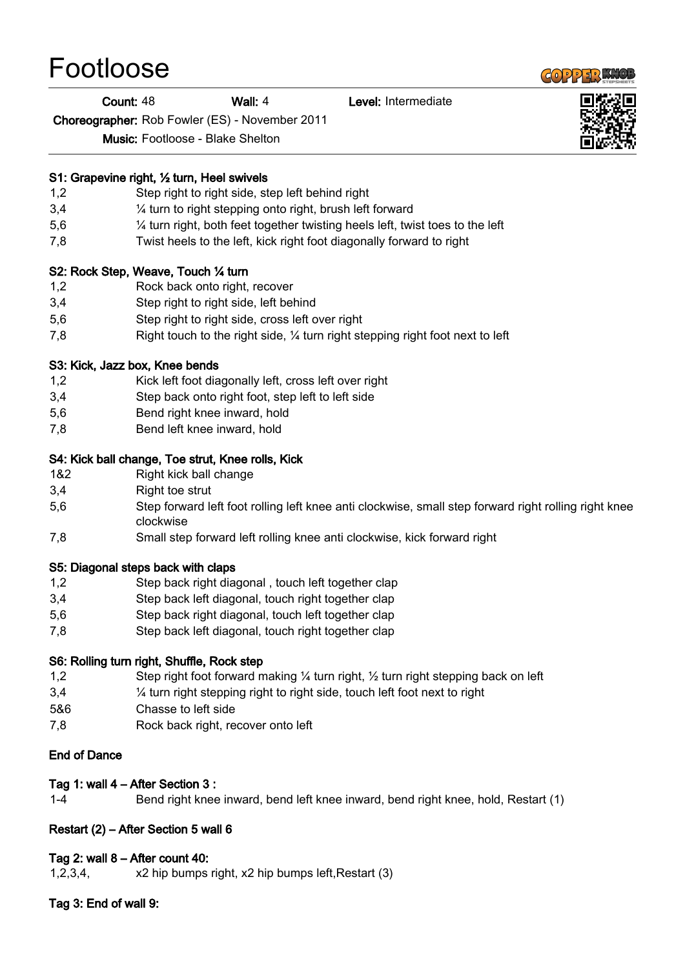# Footloose

#### Count: 48 Wall: 4 Level: Intermediate

Choreographer: Rob Fowler (ES) - November 2011

Music: Footloose - Blake Shelton

#### S1: Grapevine right, ½ turn, Heel swivels

- 1,2 Step right to right side, step left behind right
- 3,4 ¼ turn to right stepping onto right, brush left forward
- 5,6 ¼ turn right, both feet together twisting heels left, twist toes to the left
- 7,8 Twist heels to the left, kick right foot diagonally forward to right

#### S2: Rock Step, Weave, Touch ¼ turn

- 1,2 Rock back onto right, recover
- 3,4 Step right to right side, left behind
- 5,6 Step right to right side, cross left over right
- 7,8 Right touch to the right side, ¼ turn right stepping right foot next to left

#### S3: Kick, Jazz box, Knee bends

- 1,2 Kick left foot diagonally left, cross left over right
- 3,4 Step back onto right foot, step left to left side
- 5,6 Bend right knee inward, hold
- 7,8 Bend left knee inward, hold

# S4: Kick ball change, Toe strut, Knee rolls, Kick

- 1&2 Right kick ball change
- 3,4 Right toe strut
- 5,6 Step forward left foot rolling left knee anti clockwise, small step forward right rolling right knee clockwise
- 7,8 Small step forward left rolling knee anti clockwise, kick forward right

# S5: Diagonal steps back with claps

- 1,2 Step back right diagonal , touch left together clap
- 3,4 Step back left diagonal, touch right together clap
- 5,6 Step back right diagonal, touch left together clap
- 7,8 Step back left diagonal, touch right together clap

# S6: Rolling turn right, Shuffle, Rock step

- 1,2 Step right foot forward making ¼ turn right, ½ turn right stepping back on left
- 3,4 ¼ turn right stepping right to right side, touch left foot next to right
- 5&6 Chasse to left side
- 7,8 Rock back right, recover onto left

#### End of Dance

# Tag 1: wall 4 – After Section 3 :

1-4 Bend right knee inward, bend left knee inward, bend right knee, hold, Restart (1)

# Restart (2) – After Section 5 wall 6

# Tag 2: wall 8 – After count 40:

1,2,3,4, x2 hip bumps right, x2 hip bumps left,Restart (3)

# Tag 3: End of wall 9: